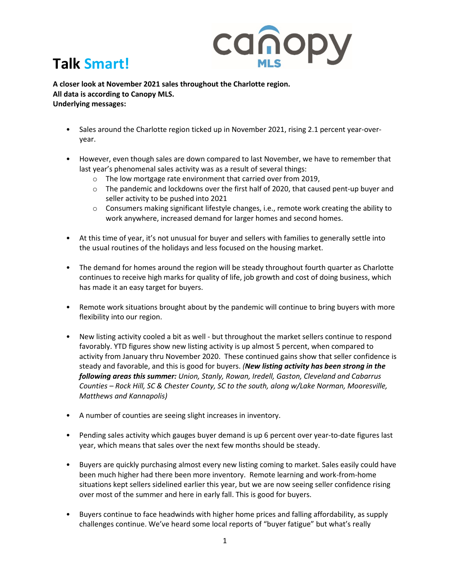

## **Talk Smart!**

**A closer look at November 2021 sales throughout the Charlotte region. All data is according to Canopy MLS. Underlying messages:** 

- Sales around the Charlotte region ticked up in November 2021, rising 2.1 percent year-overyear.
- However, even though sales are down compared to last November, we have to remember that last year's phenomenal sales activity was as a result of several things:
	- o The low mortgage rate environment that carried over from 2019,
	- o The pandemic and lockdowns over the first half of 2020, that caused pent-up buyer and seller activity to be pushed into 2021
	- o Consumers making significant lifestyle changes, i.e., remote work creating the ability to work anywhere, increased demand for larger homes and second homes.
- At this time of year, it's not unusual for buyer and sellers with families to generally settle into the usual routines of the holidays and less focused on the housing market.
- The demand for homes around the region will be steady throughout fourth quarter as Charlotte continues to receive high marks for quality of life, job growth and cost of doing business, which has made it an easy target for buyers.
- Remote work situations brought about by the pandemic will continue to bring buyers with more flexibility into our region.
- New listing activity cooled a bit as well but throughout the market sellers continue to respond favorably. YTD figures show new listing activity is up almost 5 percent, when compared to activity from January thru November 2020. These continued gains show that seller confidence is steady and favorable, and this is good for buyers. *(New listing activity has been strong in the following areas this summer: Union, Stanly, Rowan, Iredell, Gaston, Cleveland and Cabarrus Counties – Rock Hill, SC & Chester County, SC to the south, along w/Lake Norman, Mooresville, Matthews and Kannapolis)*
- A number of counties are seeing slight increases in inventory.
- Pending sales activity which gauges buyer demand is up 6 percent over year-to-date figures last year, which means that sales over the next few months should be steady.
- Buyers are quickly purchasing almost every new listing coming to market. Sales easily could have been much higher had there been more inventory. Remote learning and work-from-home situations kept sellers sidelined earlier this year, but we are now seeing seller confidence rising over most of the summer and here in early fall. This is good for buyers.
- Buyers continue to face headwinds with higher home prices and falling affordability, as supply challenges continue. We've heard some local reports of "buyer fatigue" but what's really